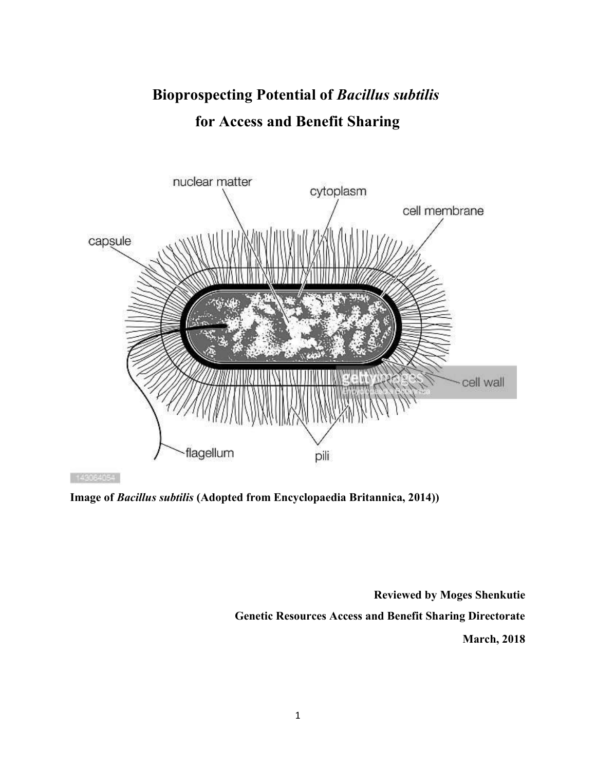# Bioprospecting Potential of Bacillus subtilis for Access and Benefit Sharing



143064054

Image of Bacillus subtilis (Adopted from Encyclopaedia Britannica, 2014))

Reviewed by Moges Shenkutie Genetic Resources Access and Benefit Sharing Directorate March, 2018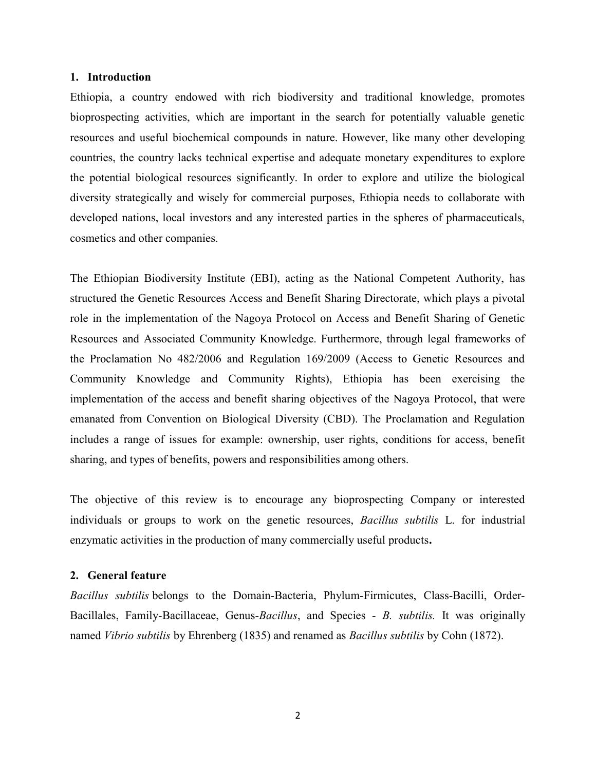#### 1. Introduction

Ethiopia, a country endowed with rich biodiversity and traditional knowledge, promotes bioprospecting activities, which are important in the search for potentially valuable genetic resources and useful biochemical compounds in nature. However, like many other developing countries, the country lacks technical expertise and adequate monetary expenditures to explore the potential biological resources significantly. In order to explore and utilize the biological diversity strategically and wisely for commercial purposes, Ethiopia needs to collaborate with developed nations, local investors and any interested parties in the spheres of pharmaceuticals, cosmetics and other companies.

The Ethiopian Biodiversity Institute (EBI), acting as the National Competent Authority, has structured the Genetic Resources Access and Benefit Sharing Directorate, which plays a pivotal role in the implementation of the Nagoya Protocol on Access and Benefit Sharing of Genetic Resources and Associated Community Knowledge. Furthermore, through legal frameworks of the Proclamation No 482/2006 and Regulation 169/2009 (Access to Genetic Resources and Community Knowledge and Community Rights), Ethiopia has been exercising the implementation of the access and benefit sharing objectives of the Nagoya Protocol, that were emanated from Convention on Biological Diversity (CBD). The Proclamation and Regulation includes a range of issues for example: ownership, user rights, conditions for access, benefit sharing, and types of benefits, powers and responsibilities among others.

The objective of this review is to encourage any bioprospecting Company or interested individuals or groups to work on the genetic resources, Bacillus subtilis L. for industrial enzymatic activities in the production of many commercially useful products.

#### 2. General feature

Bacillus subtilis belongs to the Domain-Bacteria, Phylum-Firmicutes, Class-Bacilli, Order-Bacillales, Family-Bacillaceae, Genus-Bacillus, and Species - B. subtilis. It was originally named Vibrio subtilis by Ehrenberg (1835) and renamed as Bacillus subtilis by Cohn (1872).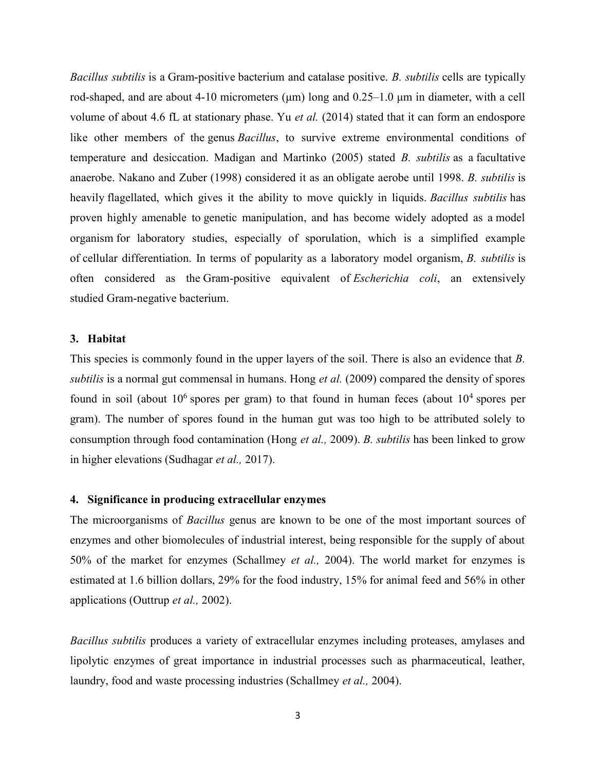Bacillus subtilis is a Gram-positive bacterium and catalase positive. B. subtilis cells are typically rod-shaped, and are about 4-10 micrometers ( $\mu$ m) long and 0.25–1.0  $\mu$ m in diameter, with a cell volume of about 4.6 fL at stationary phase. Yu et al. (2014) stated that it can form an endospore like other members of the genus *Bacillus*, to survive extreme environmental conditions of temperature and desiccation. Madigan and Martinko (2005) stated B. subtilis as a facultative anaerobe. Nakano and Zuber (1998) considered it as an obligate aerobe until 1998. B. subtilis is heavily flagellated, which gives it the ability to move quickly in liquids. Bacillus subtilis has proven highly amenable to genetic manipulation, and has become widely adopted as a model organism for laboratory studies, especially of sporulation, which is a simplified example of cellular differentiation. In terms of popularity as a laboratory model organism, B. subtilis is often considered as the Gram-positive equivalent of Escherichia coli, an extensively studied Gram-negative bacterium.

#### 3. Habitat

This species is commonly found in the upper layers of the soil. There is also an evidence that B. subtilis is a normal gut commensal in humans. Hong *et al.* (2009) compared the density of spores found in soil (about  $10^6$  spores per gram) to that found in human feces (about  $10^4$  spores per gram). The number of spores found in the human gut was too high to be attributed solely to consumption through food contamination (Hong et al., 2009). B. subtilis has been linked to grow in higher elevations (Sudhagar et al., 2017).

### 4. Significance in producing extracellular enzymes

The microorganisms of Bacillus genus are known to be one of the most important sources of enzymes and other biomolecules of industrial interest, being responsible for the supply of about 50% of the market for enzymes (Schallmey et al., 2004). The world market for enzymes is estimated at 1.6 billion dollars, 29% for the food industry, 15% for animal feed and 56% in other applications (Outtrup et al., 2002).

Bacillus subtilis produces a variety of extracellular enzymes including proteases, amylases and lipolytic enzymes of great importance in industrial processes such as pharmaceutical, leather, laundry, food and waste processing industries (Schallmey et al., 2004).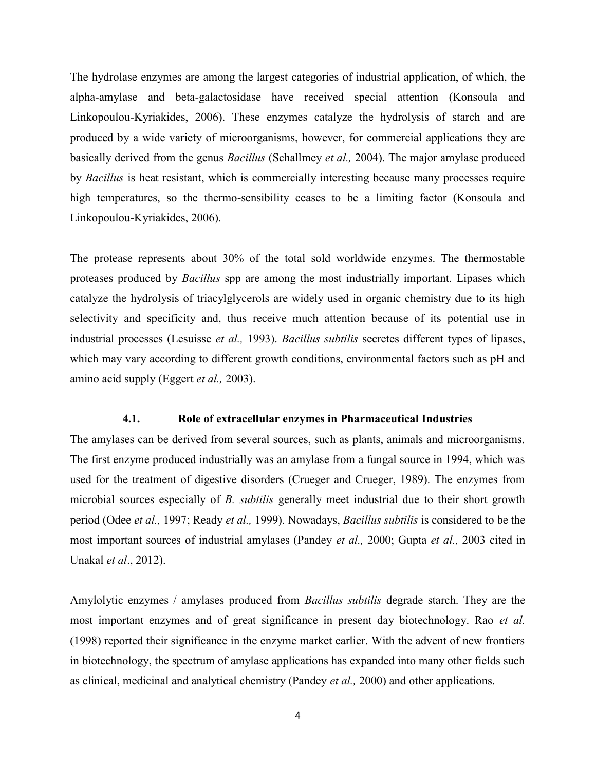The hydrolase enzymes are among the largest categories of industrial application, of which, the alpha-amylase and beta-galactosidase have received special attention (Konsoula and Linkopoulou-Kyriakides, 2006). These enzymes catalyze the hydrolysis of starch and are produced by a wide variety of microorganisms, however, for commercial applications they are basically derived from the genus *Bacillus* (Schallmey *et al.*, 2004). The major amylase produced by Bacillus is heat resistant, which is commercially interesting because many processes require high temperatures, so the thermo-sensibility ceases to be a limiting factor (Konsoula and Linkopoulou-Kyriakides, 2006).

The protease represents about 30% of the total sold worldwide enzymes. The thermostable proteases produced by Bacillus spp are among the most industrially important. Lipases which catalyze the hydrolysis of triacylglycerols are widely used in organic chemistry due to its high selectivity and specificity and, thus receive much attention because of its potential use in industrial processes (Lesuisse et al., 1993). Bacillus subtilis secretes different types of lipases, which may vary according to different growth conditions, environmental factors such as pH and amino acid supply (Eggert et al., 2003).

#### 4.1. Role of extracellular enzymes in Pharmaceutical Industries

The amylases can be derived from several sources, such as plants, animals and microorganisms. The first enzyme produced industrially was an amylase from a fungal source in 1994, which was used for the treatment of digestive disorders (Crueger and Crueger, 1989). The enzymes from microbial sources especially of B. *subtilis* generally meet industrial due to their short growth period (Odee et al., 1997; Ready et al., 1999). Nowadays, Bacillus subtilis is considered to be the most important sources of industrial amylases (Pandey et al., 2000; Gupta et al., 2003 cited in Unakal et al., 2012).

Amylolytic enzymes / amylases produced from Bacillus subtilis degrade starch. They are the most important enzymes and of great significance in present day biotechnology. Rao et al. (1998) reported their significance in the enzyme market earlier. With the advent of new frontiers in biotechnology, the spectrum of amylase applications has expanded into many other fields such as clinical, medicinal and analytical chemistry (Pandey et al., 2000) and other applications.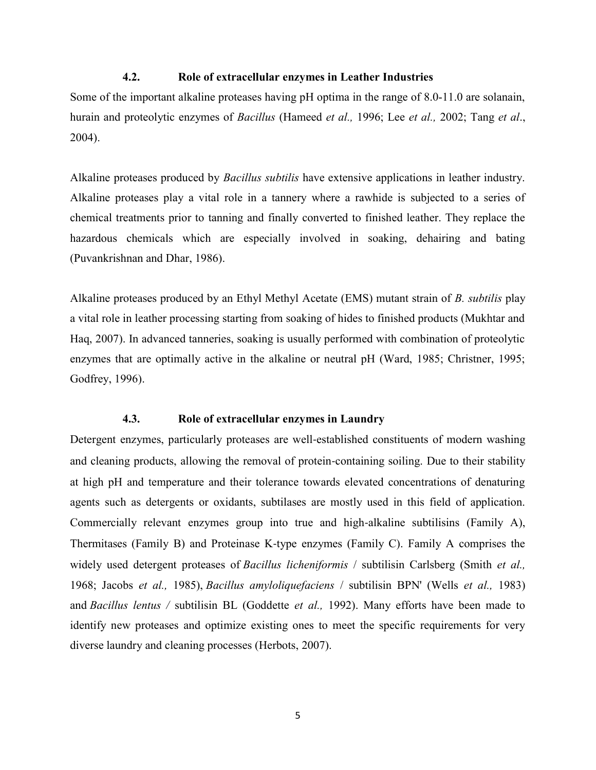# 4.2. Role of extracellular enzymes in Leather Industries

Some of the important alkaline proteases having pH optima in the range of 8.0-11.0 are solanain, hurain and proteolytic enzymes of Bacillus (Hameed et al., 1996; Lee et al., 2002; Tang et al., 2004).

Alkaline proteases produced by Bacillus subtilis have extensive applications in leather industry. Alkaline proteases play a vital role in a tannery where a rawhide is subjected to a series of chemical treatments prior to tanning and finally converted to finished leather. They replace the hazardous chemicals which are especially involved in soaking, dehairing and bating (Puvankrishnan and Dhar, 1986).

Alkaline proteases produced by an Ethyl Methyl Acetate (EMS) mutant strain of B. *subtilis* play a vital role in leather processing starting from soaking of hides to finished products (Mukhtar and Haq, 2007). In advanced tanneries, soaking is usually performed with combination of proteolytic enzymes that are optimally active in the alkaline or neutral pH (Ward, 1985; Christner, 1995; Godfrey, 1996).

# 4.3. Role of extracellular enzymes in Laundry

Detergent enzymes, particularly proteases are well-established constituents of modern washing and cleaning products, allowing the removal of protein‐containing soiling. Due to their stability at high pH and temperature and their tolerance towards elevated concentrations of denaturing agents such as detergents or oxidants, subtilases are mostly used in this field of application. Commercially relevant enzymes group into true and high‐alkaline subtilisins (Family A), Thermitases (Family B) and Proteinase K‐type enzymes (Family C). Family A comprises the widely used detergent proteases of *Bacillus licheniformis* / subtilisin Carlsberg (Smith *et al.*, 1968; Jacobs et al., 1985), Bacillus amyloliquefaciens / subtilisin BPN' (Wells et al., 1983) and Bacillus lentus / subtilisin BL (Goddette et al., 1992). Many efforts have been made to identify new proteases and optimize existing ones to meet the specific requirements for very diverse laundry and cleaning processes (Herbots, 2007).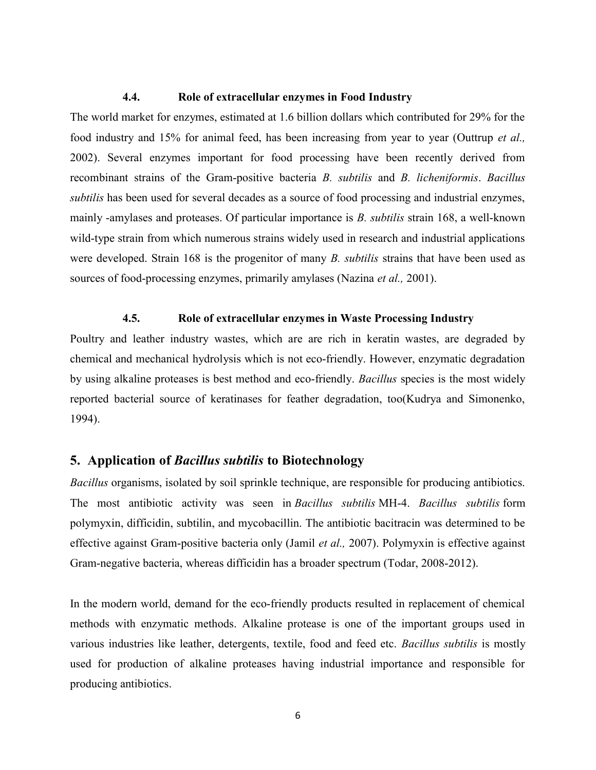# 4.4. Role of extracellular enzymes in Food Industry

The world market for enzymes, estimated at 1.6 billion dollars which contributed for 29% for the food industry and 15% for animal feed, has been increasing from year to year (Outtrup et al., 2002). Several enzymes important for food processing have been recently derived from recombinant strains of the Gram-positive bacteria B. subtilis and B. licheniformis. Bacillus subtilis has been used for several decades as a source of food processing and industrial enzymes, mainly -amylases and proteases. Of particular importance is B. subtilis strain 168, a well-known wild-type strain from which numerous strains widely used in research and industrial applications were developed. Strain 168 is the progenitor of many B. *subtilis* strains that have been used as sources of food-processing enzymes, primarily amylases (Nazina *et al.*, 2001).

# 4.5. Role of extracellular enzymes in Waste Processing Industry

Poultry and leather industry wastes, which are are rich in keratin wastes, are degraded by chemical and mechanical hydrolysis which is not eco-friendly. However, enzymatic degradation by using alkaline proteases is best method and eco-friendly. Bacillus species is the most widely reported bacterial source of keratinases for feather degradation, too(Kudrya and Simonenko, 1994).

# 5. Application of Bacillus subtilis to Biotechnology

Bacillus organisms, isolated by soil sprinkle technique, are responsible for producing antibiotics. The most antibiotic activity was seen in Bacillus subtilis MH-4. Bacillus subtilis form polymyxin, difficidin, subtilin, and mycobacillin. The antibiotic bacitracin was determined to be effective against Gram-positive bacteria only (Jamil et al., 2007). Polymyxin is effective against Gram-negative bacteria, whereas difficidin has a broader spectrum (Todar, 2008-2012).

In the modern world, demand for the eco-friendly products resulted in replacement of chemical methods with enzymatic methods. Alkaline protease is one of the important groups used in various industries like leather, detergents, textile, food and feed etc. Bacillus subtilis is mostly used for production of alkaline proteases having industrial importance and responsible for producing antibiotics.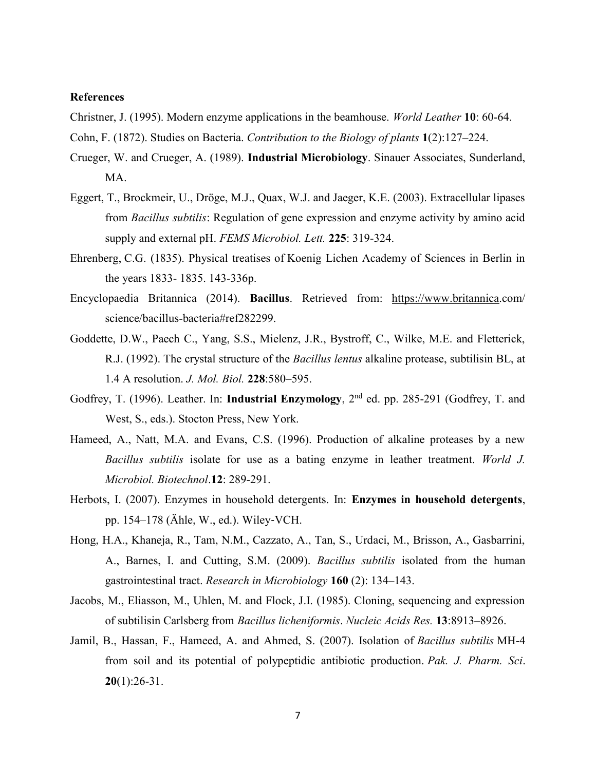#### References

Christner, J. (1995). Modern enzyme applications in the beamhouse. World Leather 10: 60-64.

- Cohn, F. (1872). Studies on Bacteria. Contribution to the Biology of plants 1(2):127–224.
- Crueger, W. and Crueger, A. (1989). Industrial Microbiology. Sinauer Associates, Sunderland, MA.
- Eggert, T., Brockmeir, U., Dröge, M.J., Quax, W.J. and Jaeger, K.E. (2003). Extracellular lipases from Bacillus subtilis: Regulation of gene expression and enzyme activity by amino acid supply and external pH. FEMS Microbiol. Lett. 225: 319-324.
- Ehrenberg, C.G. (1835). Physical treatises of Koenig Lichen Academy of Sciences in Berlin in the years 1833- 1835. 143-336p.
- Encyclopaedia Britannica (2014). Bacillus. Retrieved from: https://www.britannica.com/ science/bacillus-bacteria#ref282299.
- Goddette, D.W., Paech C., Yang, S.S., Mielenz, J.R., Bystroff, C., Wilke, M.E. and Fletterick, R.J. (1992). The crystal structure of the *Bacillus lentus* alkaline protease, subtilisin BL, at 1.4 A resolution. J. Mol. Biol. 228:580–595.
- Godfrey, T. (1996). Leather. In: Industrial Enzymology, 2<sup>nd</sup> ed. pp. 285-291 (Godfrey, T. and West, S., eds.). Stocton Press, New York.
- Hameed, A., Natt, M.A. and Evans, C.S. (1996). Production of alkaline proteases by a new Bacillus subtilis isolate for use as a bating enzyme in leather treatment. World J. Microbiol. Biotechnol.12: 289-291.
- Herbots, I. (2007). Enzymes in household detergents. In: Enzymes in household detergents, pp. 154–178 (Ähle, W., ed.). Wiley‐VCH.
- Hong, H.A., Khaneja, R., Tam, N.M., Cazzato, A., Tan, S., Urdaci, M., Brisson, A., Gasbarrini, A., Barnes, I. and Cutting, S.M. (2009). Bacillus subtilis isolated from the human gastrointestinal tract. Research in Microbiology 160 (2): 134–143.
- Jacobs, M., Eliasson, M., Uhlen, M. and Flock, J.I. (1985). Cloning, sequencing and expression of subtilisin Carlsberg from Bacillus licheniformis. Nucleic Acids Res. 13:8913–8926.
- Jamil, B., Hassan, F., Hameed, A. and Ahmed, S. (2007). Isolation of Bacillus subtilis MH-4 from soil and its potential of polypeptidic antibiotic production. Pak. J. Pharm. Sci.  $20(1):26-31.$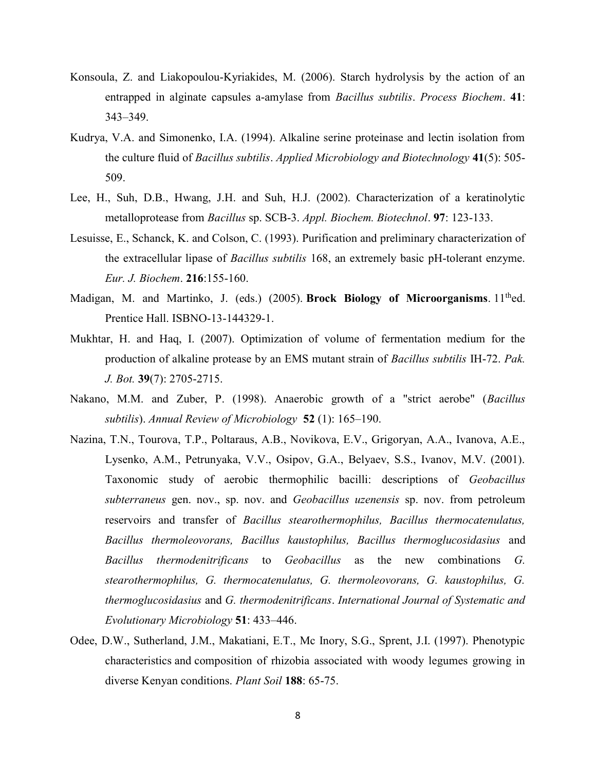- Konsoula, Z. and Liakopoulou-Kyriakides, M. (2006). Starch hydrolysis by the action of an entrapped in alginate capsules a-amylase from *Bacillus subtilis. Process Biochem.* 41: 343–349.
- Kudrya, V.A. and Simonenko, I.A. (1994). Alkaline serine proteinase and lectin isolation from the culture fluid of Bacillus subtilis. Applied Microbiology and Biotechnology 41(5): 505-509.
- Lee, H., Suh, D.B., Hwang, J.H. and Suh, H.J. (2002). Characterization of a keratinolytic metalloprotease from Bacillus sp. SCB-3. Appl. Biochem. Biotechnol. 97: 123-133.
- Lesuisse, E., Schanck, K. and Colson, C. (1993). Purification and preliminary characterization of the extracellular lipase of *Bacillus subtilis* 168, an extremely basic pH-tolerant enzyme. Eur. J. Biochem. 216:155-160.
- Madigan, M. and Martinko, J. (eds.) (2005). Brock Biology of Microorganisms. 11<sup>th</sup>ed. Prentice Hall. ISBNO-13-144329-1.
- Mukhtar, H. and Haq, I. (2007). Optimization of volume of fermentation medium for the production of alkaline protease by an EMS mutant strain of *Bacillus subtilis* IH-72. Pak. J. Bot. 39(7): 2705-2715.
- Nakano, M.M. and Zuber, P. (1998). Anaerobic growth of a "strict aerobe" (Bacillus subtilis). Annual Review of Microbiology  $52$  (1): 165–190.
- Nazina, T.N., Tourova, T.P., Poltaraus, A.B., Novikova, E.V., Grigoryan, A.A., Ivanova, A.E., Lysenko, A.M., Petrunyaka, V.V., Osipov, G.A., Belyaev, S.S., Ivanov, M.V. (2001). Taxonomic study of aerobic thermophilic bacilli: descriptions of Geobacillus subterraneus gen. nov., sp. nov. and Geobacillus uzenensis sp. nov. from petroleum reservoirs and transfer of Bacillus stearothermophilus, Bacillus thermocatenulatus, Bacillus thermoleovorans, Bacillus kaustophilus, Bacillus thermoglucosidasius and Bacillus thermodenitrificans to Geobacillus as the new combinations G. stearothermophilus, G. thermocatenulatus, G. thermoleovorans, G. kaustophilus, G. thermoglucosidasius and G. thermodenitrificans. International Journal of Systematic and Evolutionary Microbiology 51: 433–446.
- Odee, D.W., Sutherland, J.M., Makatiani, E.T., Mc Inory, S.G., Sprent, J.I. (1997). Phenotypic characteristics and composition of rhizobia associated with woody legumes growing in diverse Kenyan conditions. Plant Soil 188: 65-75.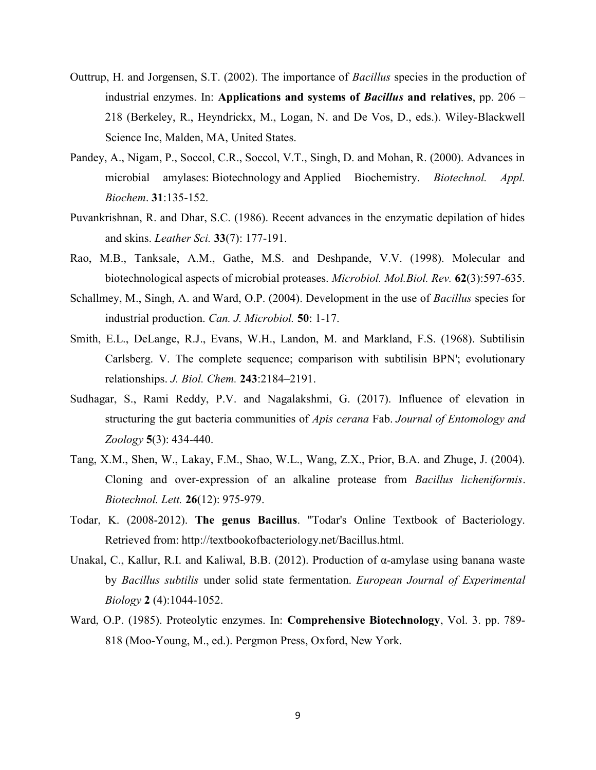- Outtrup, H. and Jorgensen, S.T. (2002). The importance of Bacillus species in the production of industrial enzymes. In: Applications and systems of *Bacillus* and relatives, pp.  $206 -$ 218 (Berkeley, R., Heyndrickx, M., Logan, N. and De Vos, D., eds.). Wiley-Blackwell Science Inc, Malden, MA, United States.
- Pandey, A., Nigam, P., Soccol, C.R., Soccol, V.T., Singh, D. and Mohan, R. (2000). Advances in microbial amylases: Biotechnology and Applied Biochemistry. Biotechnol. Appl. Biochem. 31:135-152.
- Puvankrishnan, R. and Dhar, S.C. (1986). Recent advances in the enzymatic depilation of hides and skins. Leather Sci. 33(7): 177-191.
- Rao, M.B., Tanksale, A.M., Gathe, M.S. and Deshpande, V.V. (1998). Molecular and biotechnological aspects of microbial proteases. Microbiol. Mol.Biol. Rev. 62(3):597-635.
- Schallmey, M., Singh, A. and Ward, O.P. (2004). Development in the use of *Bacillus* species for industrial production. Can. J. Microbiol. 50: 1-17.
- Smith, E.L., DeLange, R.J., Evans, W.H., Landon, M. and Markland, F.S. (1968). Subtilisin Carlsberg. V. The complete sequence; comparison with subtilisin BPN'; evolutionary relationships. J. Biol. Chem. 243:2184–2191.
- Sudhagar, S., Rami Reddy, P.V. and Nagalakshmi, G. (2017). Influence of elevation in structuring the gut bacteria communities of Apis cerana Fab. Journal of Entomology and Zoology 5(3): 434-440.
- Tang, X.M., Shen, W., Lakay, F.M., Shao, W.L., Wang, Z.X., Prior, B.A. and Zhuge, J. (2004). Cloning and over-expression of an alkaline protease from Bacillus licheniformis. Biotechnol. Lett. 26(12): 975-979.
- Todar, K. (2008-2012). The genus Bacillus. "Todar's Online Textbook of Bacteriology. Retrieved from: http://textbookofbacteriology.net/Bacillus.html.
- Unakal, C., Kallur, R.I. and Kaliwal, B.B. (2012). Production of α-amylase using banana waste by Bacillus subtilis under solid state fermentation. European Journal of Experimental Biology 2 (4):1044-1052.
- Ward, O.P. (1985). Proteolytic enzymes. In: Comprehensive Biotechnology, Vol. 3. pp. 789- 818 (Moo-Young, M., ed.). Pergmon Press, Oxford, New York.